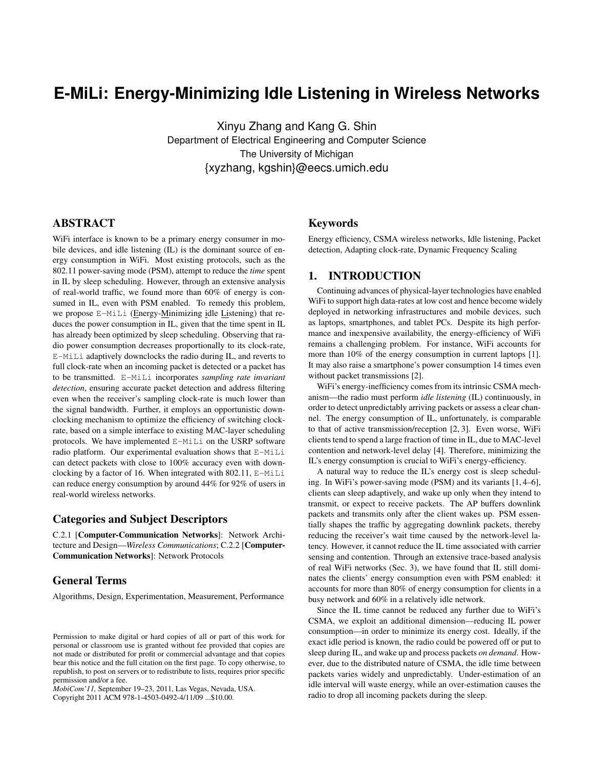# **E-MiLi: Energy-Minimizing Idle Listening in Wireless Networks**

Xinyu Zhang and Kang G. Shin Department of Electrical Engineering and Computer Science The University of Michigan {xyzhang, kgshin}@eecs.umich.edu

# ABSTRACT

WiFi interface is known to be a primary energy consumer in mobile devices, and idle listening (IL) is the dominant source of energy consumption in WiFi. Most existing protocols, such as the 802.11 power-saving mode (PSM), attempt to reduce the *time* spent in IL by sleep scheduling. However, through an extensive analysis of real-world traffic, we found more than 60% of energy is consumed in IL, even with PSM enabled. To remedy this problem, we propose E-MiLi (Energy-Minimizing idle Listening) that reduces the power consumption in IL, given that the time spent in IL has already been optimized by sleep scheduling. Observing that radio power consumption decreases proportionally to its clock-rate, E-MiLi adaptively downclocks the radio during IL, and reverts to full clock-rate when an incoming packet is detected or a packet has to be transmitted. E-MiLi incorporates *sampling rate invariant detection*, ensuring accurate packet detection and address filtering even when the receiver's sampling clock-rate is much lower than the signal bandwidth. Further, it employs an opportunistic downclocking mechanism to optimize the efficiency of switching clockrate, based on a simple interface to existing MAC-layer scheduling protocols. We have implemented E-MiLi on the USRP software radio platform. Our experimental evaluation shows that E-MiLi can detect packets with close to 100% accuracy even with downclocking by a factor of 16. When integrated with 802.11,  $E$ -MiLi can reduce energy consumption by around 44% for 92% of users in real-world wireless networks.

## Categories and Subject Descriptors

C.2.1 [Computer-Communication Networks]: Network Architecture and Design—*Wireless Communications*; C.2.2 [Computer-Communication Networks]: Network Protocols

# General Terms

Algorithms, Design, Experimentation, Measurement, Performance

*MobiCom'11,* September 19–23, 2011, Las Vegas, Nevada, USA. Copyright 2011 ACM 978-1-4503-0492-4/11/09 ...\$10.00.

## Keywords

Energy efficiency, CSMA wireless networks, Idle listening, Packet detection, Adapting clock-rate, Dynamic Frequency Scaling

## 1. INTRODUCTION

Continuing advances of physical-layer technologies have enabled WiFi to support high data-rates at low cost and hence become widely deployed in networking infrastructures and mobile devices, such as laptops, smartphones, and tablet PCs. Despite its high performance and inexpensive availability, the energy-efficiency of WiFi remains a challenging problem. For instance, WiFi accounts for more than 10% of the energy consumption in current laptops [1]. It may also raise a smartphone's power consumption 14 times even without packet transmissions [2].

WiFi's energy-inefficiency comes from its intrinsic CSMA mechanism—the radio must perform *idle listening* (IL) continuously, in order to detect unpredictably arriving packets or assess a clear channel. The energy consumption of IL, unfortunately, is comparable to that of active transmission/reception [2, 3]. Even worse, WiFi clients tend to spend a large fraction of time in IL, due to MAC-level contention and network-level delay [4]. Therefore, minimizing the IL's energy consumption is crucial to WiFi's energy-efficiency.

A natural way to reduce the IL's energy cost is sleep scheduling. In WiFi's power-saving mode (PSM) and its variants [1, 4–6], clients can sleep adaptively, and wake up only when they intend to transmit, or expect to receive packets. The AP buffers downlink packets and transmits only after the client wakes up. PSM essentially shapes the traffic by aggregating downlink packets, thereby reducing the receiver's wait time caused by the network-level latency. However, it cannot reduce the IL time associated with carrier sensing and contention. Through an extensive trace-based analysis of real WiFi networks (Sec. 3), we have found that IL still dominates the clients' energy consumption even with PSM enabled: it accounts for more than 80% of energy consumption for clients in a busy network and 60% in a relatively idle network.

Since the IL time cannot be reduced any further due to WiFi's CSMA, we exploit an additional dimension—reducing IL power consumption—in order to minimize its energy cost. Ideally, if the exact idle period is known, the radio could be powered off or put to sleep during IL, and wake up and process packets *on demand*. However, due to the distributed nature of CSMA, the idle time between packets varies widely and unpredictably. Under-estimation of an idle interval will waste energy, while an over-estimation causes the radio to drop all incoming packets during the sleep.

Permission to make digital or hard copies of all or part of this work for personal or classroom use is granted without fee provided that copies are not made or distributed for profit or commercial advantage and that copies bear this notice and the full citation on the first page. To copy otherwise, to republish, to post on servers or to redistribute to lists, requires prior specific permission and/or a fee.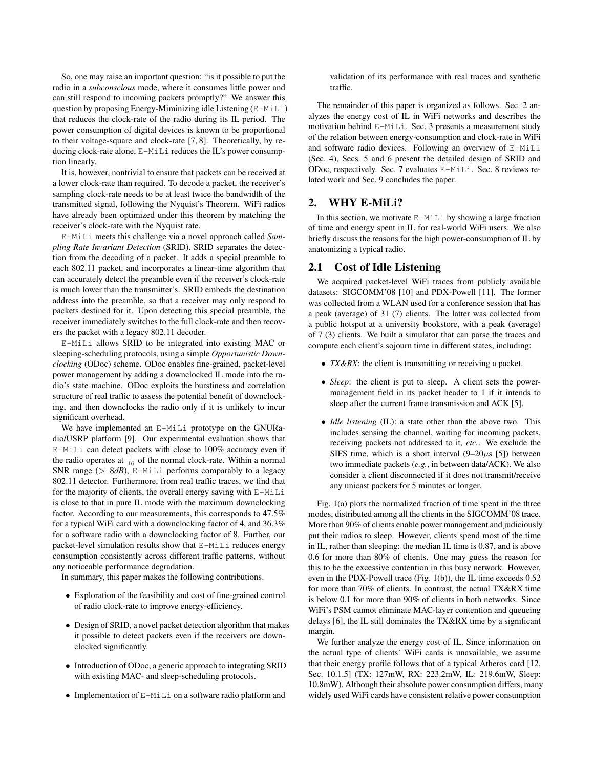So, one may raise an important question: "is it possible to put the radio in a *subconscious* mode, where it consumes little power and can still respond to incoming packets promptly?" We answer this question by proposing Energy-Miminizing idle Listening (E-MiLi) that reduces the clock-rate of the radio during its IL period. The power consumption of digital devices is known to be proportional to their voltage-square and clock-rate [7, 8]. Theoretically, by reducing clock-rate alone, E-MiLi reduces the IL's power consumption linearly.

It is, however, nontrivial to ensure that packets can be received at a lower clock-rate than required. To decode a packet, the receiver's sampling clock-rate needs to be at least twice the bandwidth of the transmitted signal, following the Nyquist's Theorem. WiFi radios have already been optimized under this theorem by matching the receiver's clock-rate with the Nyquist rate.

E-MiLi meets this challenge via a novel approach called *Sampling Rate Invariant Detection* (SRID). SRID separates the detection from the decoding of a packet. It adds a special preamble to each 802.11 packet, and incorporates a linear-time algorithm that can accurately detect the preamble even if the receiver's clock-rate is much lower than the transmitter's. SRID embeds the destination address into the preamble, so that a receiver may only respond to packets destined for it. Upon detecting this special preamble, the receiver immediately switches to the full clock-rate and then recovers the packet with a legacy 802.11 decoder.

E-MiLi allows SRID to be integrated into existing MAC or sleeping-scheduling protocols, using a simple *Opportunistic Downclocking* (ODoc) scheme. ODoc enables fine-grained, packet-level power management by adding a downclocked IL mode into the radio's state machine. ODoc exploits the burstiness and correlation structure of real traffic to assess the potential benefit of downclocking, and then downclocks the radio only if it is unlikely to incur significant overhead.

We have implemented an E-MiLi prototype on the GNURadio/USRP platform [9]. Our experimental evaluation shows that E-MiLi can detect packets with close to 100% accuracy even if the radio operates at  $\frac{1}{16}$  of the normal clock-rate. Within a normal SNR range ( $> 8dB$ ), E-MiLi performs comparably to a legacy 802.11 detector. Furthermore, from real traffic traces, we find that for the majority of clients, the overall energy saving with  $E-MiLi$ is close to that in pure IL mode with the maximum downclocking factor. According to our measurements, this corresponds to 47.5% for a typical WiFi card with a downclocking factor of 4, and 36.3% for a software radio with a downclocking factor of 8. Further, our packet-level simulation results show that E-MiLi reduces energy consumption consistently across different traffic patterns, without any noticeable performance degradation.

In summary, this paper makes the following contributions.

- Exploration of the feasibility and cost of fine-grained control of radio clock-rate to improve energy-efficiency.
- Design of SRID, a novel packet detection algorithm that makes it possible to detect packets even if the receivers are downclocked significantly.
- Introduction of ODoc, a generic approach to integrating SRID with existing MAC- and sleep-scheduling protocols.
- Implementation of  $E-MiLi$  on a software radio platform and

validation of its performance with real traces and synthetic traffic.

The remainder of this paper is organized as follows. Sec. 2 analyzes the energy cost of IL in WiFi networks and describes the motivation behind E-MiLi. Sec. 3 presents a measurement study of the relation between energy-consumption and clock-rate in WiFi and software radio devices. Following an overview of E-MiLi (Sec. 4), Secs. 5 and 6 present the detailed design of SRID and ODoc, respectively. Sec. 7 evaluates E-MiLi. Sec. 8 reviews related work and Sec. 9 concludes the paper.

## 2. WHY E-MiLi?

In this section, we motivate  $E-MiLi$  by showing a large fraction of time and energy spent in IL for real-world WiFi users. We also briefly discuss the reasons for the high power-consumption of IL by anatomizing a typical radio.

#### 2.1 Cost of Idle Listening

We acquired packet-level WiFi traces from publicly available datasets: SIGCOMM'08 [10] and PDX-Powell [11]. The former was collected from a WLAN used for a conference session that has a peak (average) of 31 (7) clients. The latter was collected from a public hotspot at a university bookstore, with a peak (average) of 7 (3) clients. We built a simulator that can parse the traces and compute each client's sojourn time in different states, including:

- *TX&RX*: the client is transmitting or receiving a packet.
- *Sleep*: the client is put to sleep. A client sets the powermanagement field in its packet header to 1 if it intends to sleep after the current frame transmission and ACK [5].
- *Idle listening* (IL): a state other than the above two. This includes sensing the channel, waiting for incoming packets, receiving packets not addressed to it, *etc.*. We exclude the SIFS time, which is a short interval  $(9-20\mu s)$  [5]) between two immediate packets (*e.g.*, in between data/ACK). We also consider a client disconnected if it does not transmit/receive any unicast packets for 5 minutes or longer.

Fig. 1(a) plots the normalized fraction of time spent in the three modes, distributed among all the clients in the SIGCOMM'08 trace. More than 90% of clients enable power management and judiciously put their radios to sleep. However, clients spend most of the time in IL, rather than sleeping: the median IL time is 0.87, and is above 0.6 for more than 80% of clients. One may guess the reason for this to be the excessive contention in this busy network. However, even in the PDX-Powell trace (Fig. 1(b)), the IL time exceeds 0.52 for more than 70% of clients. In contrast, the actual TX&RX time is below 0.1 for more than 90% of clients in both networks. Since WiFi's PSM cannot eliminate MAC-layer contention and queueing delays [6], the IL still dominates the TX&RX time by a significant margin.

We further analyze the energy cost of IL. Since information on the actual type of clients' WiFi cards is unavailable, we assume that their energy profile follows that of a typical Atheros card [12, Sec. 10.1.5] (TX: 127mW, RX: 223.2mW, IL: 219.6mW, Sleep: 10.8mW). Although their absolute power consumption differs, many widely used WiFi cards have consistent relative power consumption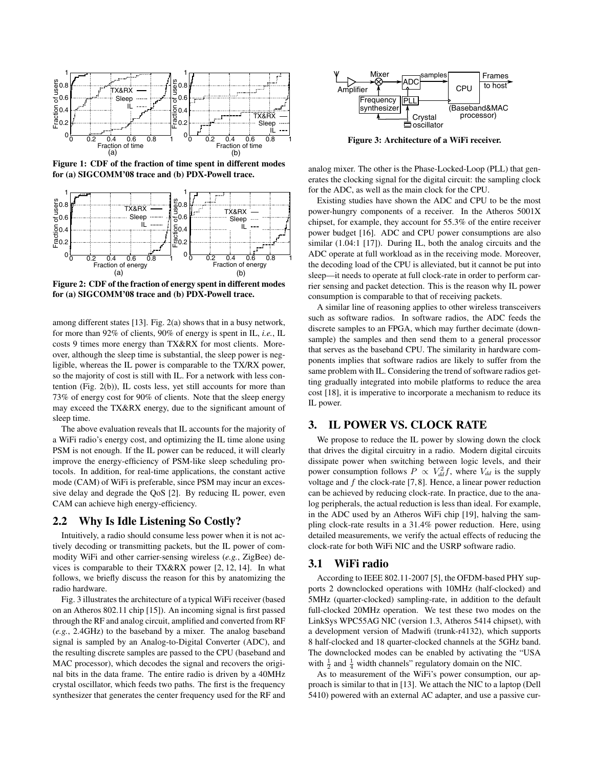

Figure 1: CDF of the fraction of time spent in different modes for (a) SIGCOMM'08 trace and (b) PDX-Powell trace.



Figure 2: CDF of the fraction of energy spent in different modes for (a) SIGCOMM'08 trace and (b) PDX-Powell trace.

among different states [13]. Fig. 2(a) shows that in a busy network, for more than 92% of clients, 90% of energy is spent in IL, *i.e.*, IL costs 9 times more energy than TX&RX for most clients. Moreover, although the sleep time is substantial, the sleep power is negligible, whereas the IL power is comparable to the TX/RX power, so the majority of cost is still with IL. For a network with less contention (Fig. 2(b)), IL costs less, yet still accounts for more than 73% of energy cost for 90% of clients. Note that the sleep energy may exceed the TX&RX energy, due to the significant amount of sleep time.

The above evaluation reveals that IL accounts for the majority of a WiFi radio's energy cost, and optimizing the IL time alone using PSM is not enough. If the IL power can be reduced, it will clearly improve the energy-efficiency of PSM-like sleep scheduling protocols. In addition, for real-time applications, the constant active mode (CAM) of WiFi is preferable, since PSM may incur an excessive delay and degrade the QoS [2]. By reducing IL power, even CAM can achieve high energy-efficiency.

#### 2.2 Why Is Idle Listening So Costly?

Intuitively, a radio should consume less power when it is not actively decoding or transmitting packets, but the IL power of commodity WiFi and other carrier-sensing wireless (*e.g.*, ZigBee) devices is comparable to their TX&RX power [2, 12, 14]. In what follows, we briefly discuss the reason for this by anatomizing the radio hardware.

Fig. 3 illustrates the architecture of a typical WiFi receiver (based on an Atheros 802.11 chip [15]). An incoming signal is first passed through the RF and analog circuit, amplified and converted from RF (*e.g.*, 2.4GHz) to the baseband by a mixer. The analog baseband signal is sampled by an Analog-to-Digital Converter (ADC), and the resulting discrete samples are passed to the CPU (baseband and MAC processor), which decodes the signal and recovers the original bits in the data frame. The entire radio is driven by a 40MHz crystal oscillator, which feeds two paths. The first is the frequency synthesizer that generates the center frequency used for the RF and



Figure 3: Architecture of a WiFi receiver.

analog mixer. The other is the Phase-Locked-Loop (PLL) that generates the clocking signal for the digital circuit: the sampling clock for the ADC, as well as the main clock for the CPU.

Existing studies have shown the ADC and CPU to be the most power-hungry components of a receiver. In the Atheros 5001X chipset, for example, they account for 55.3% of the entire receiver power budget [16]. ADC and CPU power consumptions are also similar (1.04:1 [17]). During IL, both the analog circuits and the ADC operate at full workload as in the receiving mode. Moreover, the decoding load of the CPU is alleviated, but it cannot be put into sleep—it needs to operate at full clock-rate in order to perform carrier sensing and packet detection. This is the reason why IL power consumption is comparable to that of receiving packets.

A similar line of reasoning applies to other wireless transceivers such as software radios. In software radios, the ADC feeds the discrete samples to an FPGA, which may further decimate (downsample) the samples and then send them to a general processor that serves as the baseband CPU. The similarity in hardware components implies that software radios are likely to suffer from the same problem with IL. Considering the trend of software radios getting gradually integrated into mobile platforms to reduce the area cost [18], it is imperative to incorporate a mechanism to reduce its IL power.

## 3. IL POWER VS. CLOCK RATE

We propose to reduce the IL power by slowing down the clock that drives the digital circuitry in a radio. Modern digital circuits dissipate power when switching between logic levels, and their power consumption follows  $P \propto V_{dd}^2 f$ , where  $V_{dd}$  is the supply voltage and  $f$  the clock-rate [7, 8]. Hence, a linear power reduction can be achieved by reducing clock-rate. In practice, due to the analog peripherals, the actual reduction is less than ideal. For example, in the ADC used by an Atheros WiFi chip [19], halving the sampling clock-rate results in a 31.4% power reduction. Here, using detailed measurements, we verify the actual effects of reducing the clock-rate for both WiFi NIC and the USRP software radio.

## 3.1 WiFi radio

According to IEEE 802.11-2007 [5], the OFDM-based PHY supports 2 downclocked operations with 10MHz (half-clocked) and 5MHz (quarter-clocked) sampling-rate, in addition to the default full-clocked 20MHz operation. We test these two modes on the LinkSys WPC55AG NIC (version 1.3, Atheros 5414 chipset), with a development version of Madwifi (trunk-r4132), which supports 8 half-clocked and 18 quarter-clocked channels at the 5GHz band. The downclocked modes can be enabled by activating the "USA with  $\frac{1}{2}$  and  $\frac{1}{4}$  width channels" regulatory domain on the NIC.

As to measurement of the WiFi's power consumption, our approach is similar to that in [13]. We attach the NIC to a laptop (Dell 5410) powered with an external AC adapter, and use a passive cur-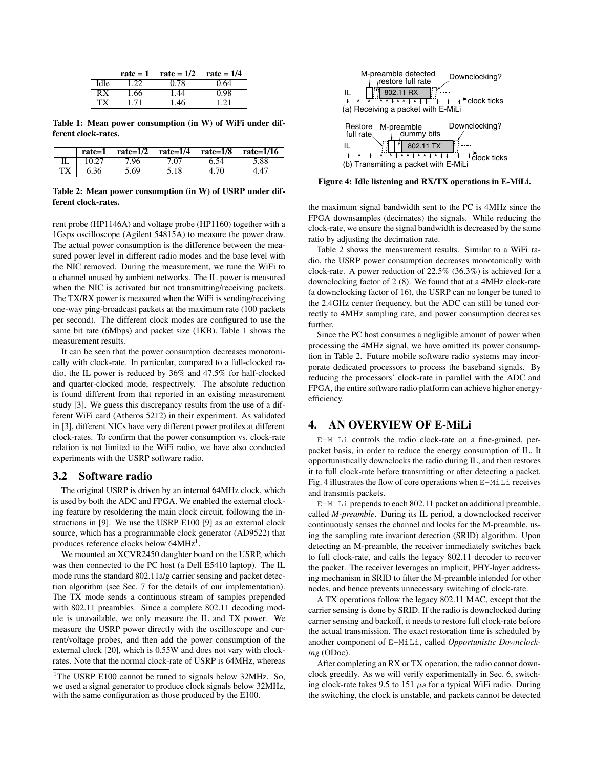|      | rate $= 1$ | rate = $1/2$ | rate $= 1/4$ |
|------|------------|--------------|--------------|
| Idle |            | 0.78         | 0.64         |
| RХ   | 1.66       | .44          | 0.98         |
| TХ   | -71        |              |              |

Table 1: Mean power consumption (in W) of WiFi under different clock-rates.

|    | $rate=1$ |       |      |      | rate= $1/2$   rate= $1/4$   rate= $1/8$   rate= $1/16$ |
|----|----------|-------|------|------|--------------------------------------------------------|
|    | 10.27    | .96   |      |      |                                                        |
| ТX | 6.36     | ۔ 69۔ | 5.18 | 4.7C |                                                        |

Table 2: Mean power consumption (in W) of USRP under different clock-rates.

rent probe (HP1146A) and voltage probe (HP1160) together with a 1Gsps oscilloscope (Agilent 54815A) to measure the power draw. The actual power consumption is the difference between the measured power level in different radio modes and the base level with the NIC removed. During the measurement, we tune the WiFi to a channel unused by ambient networks. The IL power is measured when the NIC is activated but not transmitting/receiving packets. The TX/RX power is measured when the WiFi is sending/receiving one-way ping-broadcast packets at the maximum rate (100 packets per second). The different clock modes are configured to use the same bit rate (6Mbps) and packet size (1KB). Table 1 shows the measurement results.

It can be seen that the power consumption decreases monotonically with clock-rate. In particular, compared to a full-clocked radio, the IL power is reduced by 36% and 47.5% for half-clocked and quarter-clocked mode, respectively. The absolute reduction is found different from that reported in an existing measurement study [3]. We guess this discrepancy results from the use of a different WiFi card (Atheros 5212) in their experiment. As validated in [3], different NICs have very different power profiles at different clock-rates. To confirm that the power consumption vs. clock-rate relation is not limited to the WiFi radio, we have also conducted experiments with the USRP software radio.

### 3.2 Software radio

The original USRP is driven by an internal 64MHz clock, which is used by both the ADC and FPGA. We enabled the external clocking feature by resoldering the main clock circuit, following the instructions in [9]. We use the USRP E100 [9] as an external clock source, which has a programmable clock generator (AD9522) that produces reference clocks below 64MHz<sup>1</sup>.

We mounted an XCVR2450 daughter board on the USRP, which was then connected to the PC host (a Dell E5410 laptop). The IL mode runs the standard 802.11a/g carrier sensing and packet detection algorithm (see Sec. 7 for the details of our implementation). The TX mode sends a continuous stream of samples prepended with 802.11 preambles. Since a complete 802.11 decoding module is unavailable, we only measure the IL and TX power. We measure the USRP power directly with the oscilloscope and current/voltage probes, and then add the power consumption of the external clock [20], which is 0.55W and does not vary with clockrates. Note that the normal clock-rate of USRP is 64MHz, whereas



Figure 4: Idle listening and RX/TX operations in E-MiLi.

the maximum signal bandwidth sent to the PC is 4MHz since the FPGA downsamples (decimates) the signals. While reducing the clock-rate, we ensure the signal bandwidth is decreased by the same ratio by adjusting the decimation rate.

Table 2 shows the measurement results. Similar to a WiFi radio, the USRP power consumption decreases monotonically with clock-rate. A power reduction of 22.5% (36.3%) is achieved for a downclocking factor of 2 (8). We found that at a 4MHz clock-rate (a downclocking factor of 16), the USRP can no longer be tuned to the 2.4GHz center frequency, but the ADC can still be tuned correctly to 4MHz sampling rate, and power consumption decreases further.

Since the PC host consumes a negligible amount of power when processing the 4MHz signal, we have omitted its power consumption in Table 2. Future mobile software radio systems may incorporate dedicated processors to process the baseband signals. By reducing the processors' clock-rate in parallel with the ADC and FPGA, the entire software radio platform can achieve higher energyefficiency.

#### 4. AN OVERVIEW OF E-MiLi

E-MiLi controls the radio clock-rate on a fine-grained, perpacket basis, in order to reduce the energy consumption of IL. It opportunistically downclocks the radio during IL, and then restores it to full clock-rate before transmitting or after detecting a packet. Fig. 4 illustrates the flow of core operations when E-MiLi receives and transmits packets.

E-MiLi prepends to each 802.11 packet an additional preamble, called *M-preamble*. During its IL period, a downclocked receiver continuously senses the channel and looks for the M-preamble, using the sampling rate invariant detection (SRID) algorithm. Upon detecting an M-preamble, the receiver immediately switches back to full clock-rate, and calls the legacy 802.11 decoder to recover the packet. The receiver leverages an implicit, PHY-layer addressing mechanism in SRID to filter the M-preamble intended for other nodes, and hence prevents unnecessary switching of clock-rate.

A TX operations follow the legacy 802.11 MAC, except that the carrier sensing is done by SRID. If the radio is downclocked during carrier sensing and backoff, it needs to restore full clock-rate before the actual transmission. The exact restoration time is scheduled by another component of E-MiLi, called *Opportunistic Downclocking* (ODoc).

After completing an RX or TX operation, the radio cannot downclock greedily. As we will verify experimentally in Sec. 6, switching clock-rate takes 9.5 to 151  $\mu s$  for a typical WiFi radio. During the switching, the clock is unstable, and packets cannot be detected

<sup>&</sup>lt;sup>1</sup>The USRP E100 cannot be tuned to signals below 32MHz. So, we used a signal generator to produce clock signals below 32MHz, with the same configuration as those produced by the E100.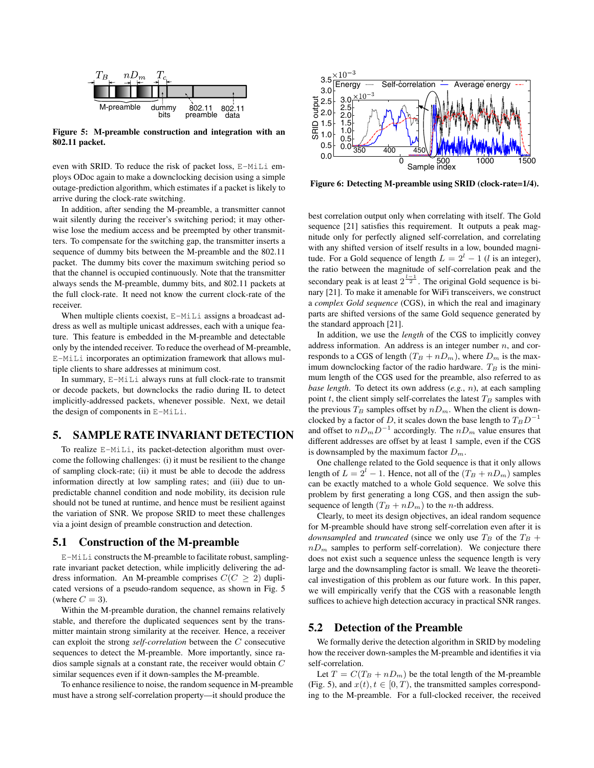

Figure 5: M-preamble construction and integration with an 802.11 packet.

even with SRID. To reduce the risk of packet loss, E-MiLi employs ODoc again to make a downclocking decision using a simple outage-prediction algorithm, which estimates if a packet is likely to arrive during the clock-rate switching.

In addition, after sending the M-preamble, a transmitter cannot wait silently during the receiver's switching period; it may otherwise lose the medium access and be preempted by other transmitters. To compensate for the switching gap, the transmitter inserts a sequence of dummy bits between the M-preamble and the 802.11 packet. The dummy bits cover the maximum switching period so that the channel is occupied continuously. Note that the transmitter always sends the M-preamble, dummy bits, and 802.11 packets at the full clock-rate. It need not know the current clock-rate of the receiver.

When multiple clients coexist, E-MiLi assigns a broadcast address as well as multiple unicast addresses, each with a unique feature. This feature is embedded in the M-preamble and detectable only by the intended receiver. To reduce the overhead of M-preamble, E-MiLi incorporates an optimization framework that allows multiple clients to share addresses at minimum cost.

In summary, E-MiLi always runs at full clock-rate to transmit or decode packets, but downclocks the radio during IL to detect implicitly-addressed packets, whenever possible. Next, we detail the design of components in E-MiLi.

#### 5. SAMPLE RATE INVARIANT DETECTION

To realize E-MiLi, its packet-detection algorithm must overcome the following challenges: (i) it must be resilient to the change of sampling clock-rate; (ii) it must be able to decode the address information directly at low sampling rates; and (iii) due to unpredictable channel condition and node mobility, its decision rule should not be tuned at runtime, and hence must be resilient against the variation of SNR. We propose SRID to meet these challenges via a joint design of preamble construction and detection.

#### 5.1 Construction of the M-preamble

E-MiLi constructs the M-preamble to facilitate robust, samplingrate invariant packet detection, while implicitly delivering the address information. An M-preamble comprises  $C(C > 2)$  duplicated versions of a pseudo-random sequence, as shown in Fig. 5 (where  $C = 3$ ).

Within the M-preamble duration, the channel remains relatively stable, and therefore the duplicated sequences sent by the transmitter maintain strong similarity at the receiver. Hence, a receiver can exploit the strong *self-correlation* between the C consecutive sequences to detect the M-preamble. More importantly, since radios sample signals at a constant rate, the receiver would obtain C similar sequences even if it down-samples the M-preamble.

To enhance resilience to noise, the random sequence in M-preamble must have a strong self-correlation property—it should produce the



Figure 6: Detecting M-preamble using SRID (clock-rate=1/4).

best correlation output only when correlating with itself. The Gold sequence [21] satisfies this requirement. It outputs a peak magnitude only for perfectly aligned self-correlation, and correlating with any shifted version of itself results in a low, bounded magnitude. For a Gold sequence of length  $L = 2<sup>l</sup> - 1$  (l is an integer), the ratio between the magnitude of self-correlation peak and the secondary peak is at least  $2^{\frac{l-1}{2}}$ . The original Gold sequence is binary [21]. To make it amenable for WiFi transceivers, we construct a *complex Gold sequence* (CGS), in which the real and imaginary parts are shifted versions of the same Gold sequence generated by the standard approach [21].

In addition, we use the *length* of the CGS to implicitly convey address information. An address is an integer number  $n$ , and corresponds to a CGS of length  $(T_B + nD_m)$ , where  $D_m$  is the maximum downclocking factor of the radio hardware.  $T_B$  is the minimum length of the CGS used for the preamble, also referred to as *base length*. To detect its own address (*e.g.*, n), at each sampling point t, the client simply self-correlates the latest  $T_B$  samples with the previous  $T_B$  samples offset by  $nD_m$ . When the client is downclocked by a factor of D, it scales down the base length to  $T_B D^{-1}$ and offset to  $nD_mD^{-1}$  accordingly. The  $nD_m$  value ensures that different addresses are offset by at least 1 sample, even if the CGS is downsampled by the maximum factor  $D_m$ .

One challenge related to the Gold sequence is that it only allows length of  $L = 2^l - 1$ . Hence, not all of the  $(T_B + nD_m)$  samples can be exactly matched to a whole Gold sequence. We solve this problem by first generating a long CGS, and then assign the subsequence of length  $(T_B + nD_m)$  to the *n*-th address.

Clearly, to meet its design objectives, an ideal random sequence for M-preamble should have strong self-correlation even after it is *downsampled* and *truncated* (since we only use  $T_B$  of the  $T_B$  +  $nD_m$  samples to perform self-correlation). We conjecture there does not exist such a sequence unless the sequence length is very large and the downsampling factor is small. We leave the theoretical investigation of this problem as our future work. In this paper, we will empirically verify that the CGS with a reasonable length suffices to achieve high detection accuracy in practical SNR ranges.

#### 5.2 Detection of the Preamble

We formally derive the detection algorithm in SRID by modeling how the receiver down-samples the M-preamble and identifies it via self-correlation.

Let  $T = C(T_B + nD_m)$  be the total length of the M-preamble (Fig. 5), and  $x(t)$ ,  $t \in [0, T)$ , the transmitted samples corresponding to the M-preamble. For a full-clocked receiver, the received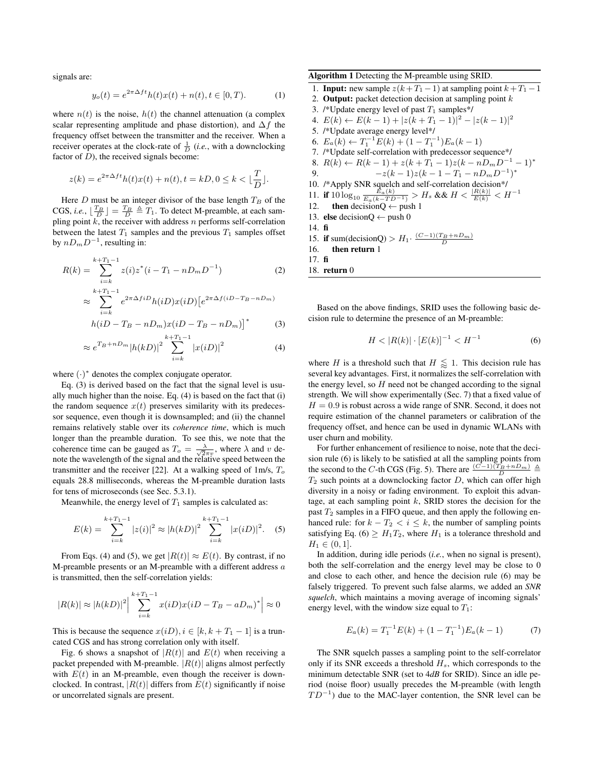signals are:

$$
y_o(t) = e^{2\pi \Delta ft} h(t)x(t) + n(t), t \in [0, T).
$$
 (1)

where  $n(t)$  is the noise,  $h(t)$  the channel attenuation (a complex scalar representing amplitude and phase distortion), and  $\Delta f$  the frequency offset between the transmitter and the receiver. When a receiver operates at the clock-rate of  $\frac{1}{D}$  (*i.e.*, with a downclocking factor of  $D$ ), the received signals become:

$$
z(k) = e^{2\pi \Delta ft} h(t)x(t) + n(t), t = kD, 0 \le k < \lfloor \frac{T}{D} \rfloor.
$$

Here  $D$  must be an integer divisor of the base length  $T_B$  of the CGS, *i.e.*,  $\lfloor \frac{T_B}{D} \rfloor = \frac{T_B}{D} \triangleq T_1$ . To detect M-preamble, at each sampling point  $k$ , the receiver with address  $n$  performs self-correlation between the latest  $T_1$  samples and the previous  $T_1$  samples offset by  $n D_m D^{-1}$ , resulting in:

$$
R(k) = \sum_{i=k}^{k+T_1-1} z(i)z^*(i - T_1 - nD_m D^{-1})
$$
 (2)

$$
\approx \sum_{i=k}^{k+T_1-1} e^{2\pi \Delta f i D} h(iD)x(iD) \left[e^{2\pi \Delta f (iD - T_B - nD_m)}\right]
$$

$$
h(iD - T_B - nD_m)x(iD - T_B - nD_m)\right]^*
$$
(3)

$$
\begin{aligned} \n\mathcal{L}_{n}(iD - 1B^{-1}nD_{m})x(iD - 1B^{-1}nD_{m})] & \quad (3) \\ \n\mathcal{L}_{E}^{T} &= \frac{k+T_{1}-1}{T_{1}} |x(iD)|^{2} \n\end{aligned}
$$

$$
\approx e^{T_B + nD_m} |h(kD)|^2 \sum_{i=k} |x(iD)|^2 \tag{4}
$$

where  $(\cdot)^*$  denotes the complex conjugate operator.

Eq. (3) is derived based on the fact that the signal level is usually much higher than the noise. Eq. (4) is based on the fact that (i) the random sequence  $x(t)$  preserves similarity with its predecessor sequence, even though it is downsampled; and (ii) the channel remains relatively stable over its *coherence time*, which is much longer than the preamble duration. To see this, we note that the coherence time can be gauged as  $T_o = \frac{\lambda}{\sqrt{2\pi v}}$ , where  $\lambda$  and v denote the wavelength of the signal and the relative speed between the transmitter and the receiver [22]. At a walking speed of  $1m/s$ ,  $T<sub>o</sub>$ equals 28.8 milliseconds, whereas the M-preamble duration lasts for tens of microseconds (see Sec. 5.3.1).

Meanwhile, the energy level of  $T_1$  samples is calculated as:

$$
E(k) = \sum_{i=k}^{k+T_1-1} |z(i)|^2 \approx |h(kD)|^2 \sum_{i=k}^{k+T_1-1} |x(iD)|^2.
$$
 (5)

From Eqs. (4) and (5), we get  $|R(t)| \approx E(t)$ . By contrast, if no M-preamble presents or an M-preamble with a different address  $a$ is transmitted, then the self-correlation yields:

$$
|R(k)| \approx |h(kD)|^2 \bigg| \sum_{i=k}^{k+T_1-1} x(iD)x(iD - T_B - aD_m)^* \bigg| \approx 0
$$

This is because the sequence  $x(iD)$ ,  $i \in [k, k + T_1 - 1]$  is a truncated CGS and has strong correlation only with itself.

Fig. 6 shows a snapshot of  $|R(t)|$  and  $E(t)$  when receiving a packet prepended with M-preamble.  $|R(t)|$  aligns almost perfectly with  $E(t)$  in an M-preamble, even though the receiver is downclocked. In contrast,  $|R(t)|$  differs from  $E(t)$  significantly if noise or uncorrelated signals are present.

Algorithm 1 Detecting the M-preamble using SRID. 1. **Input:** new sample  $z(k+T_1-1)$  at sampling point  $k+T_1-1$ 2. **Output:** packet detection decision at sampling point  $k$ 3. /\*Update energy level of past  $T_1$  samples\*/ 4.  $E(k) \leftarrow E(k-1) + |z(k+T_1-1)|^2 - |z(k-1)|^2$ 5. /\*Update average energy level\*/ 6.  $E_a(k) \leftarrow T_1^{-1}E(k) + (1 - T_1^{-1})E_a(k - 1)$ 7. /\*Update self-correlation with predecessor sequence\*/ 8.  $R(k) \leftarrow R(k-1) + z(k+T_1-1)z(k-nD_mD^{-1}-1)^*$ 9.  $-z(k-1)z(k-1-T_1-nD_mD^{-1})^*$ 10. /\*Apply SNR squelch and self-correlation decision\*/ 11. if  $10\log_{10}\frac{E_a(k)}{E_a(k-TD^{-1})} > H_s$  &&  $H < \frac{|R(k)|}{E(k)} < H^{-1}$ 12. then decision $Q \leftarrow$  push 1 13. else decision $O \leftarrow$  push 0 14. fi 15. if sum(decisionQ) >  $H_1 \cdot \frac{(C-1)(T_B + nD_m)}{D}$ 16. then return 1 17. fi 18. return 0

Based on the above findings, SRID uses the following basic decision rule to determine the presence of an M-preamble:

$$
H < |R(k)| \cdot [E(k)]^{-1} < H^{-1} \tag{6}
$$

where H is a threshold such that  $H \leq 1$ . This decision rule has several key advantages. First, it normalizes the self-correlation with the energy level, so  $H$  need not be changed according to the signal strength. We will show experimentally (Sec. 7) that a fixed value of  $H = 0.9$  is robust across a wide range of SNR. Second, it does not require estimation of the channel parameters or calibration of the frequency offset, and hence can be used in dynamic WLANs with user churn and mobility.

For further enhancement of resilience to noise, note that the decision rule (6) is likely to be satisfied at all the sampling points from the second to the C-th CGS (Fig. 5). There are  $\frac{(C-1)(T_B+nD_m)}{D} \triangleq$  $T_2$  such points at a downclocking factor  $D$ , which can offer high diversity in a noisy or fading environment. To exploit this advantage, at each sampling point  $k$ , SRID stores the decision for the past  $T_2$  samples in a FIFO queue, and then apply the following enhanced rule: for  $k - T_2 < i \leq k$ , the number of sampling points satisfying Eq. (6)  $\geq H_1T_2$ , where  $H_1$  is a tolerance threshold and  $H_1 \in (0,1].$ 

In addition, during idle periods (*i.e.*, when no signal is present), both the self-correlation and the energy level may be close to 0 and close to each other, and hence the decision rule (6) may be falsely triggered. To prevent such false alarms, we added an *SNR squelch*, which maintains a moving average of incoming signals' energy level, with the window size equal to  $T_1$ :

$$
E_a(k) = T_1^{-1}E(k) + (1 - T_1^{-1})E_a(k - 1)
$$
 (7)

The SNR squelch passes a sampling point to the self-correlator only if its SNR exceeds a threshold  $H_s$ , which corresponds to the minimum detectable SNR (set to 4*dB* for SRID). Since an idle period (noise floor) usually precedes the M-preamble (with length  $TD^{-1}$ ) due to the MAC-layer contention, the SNR level can be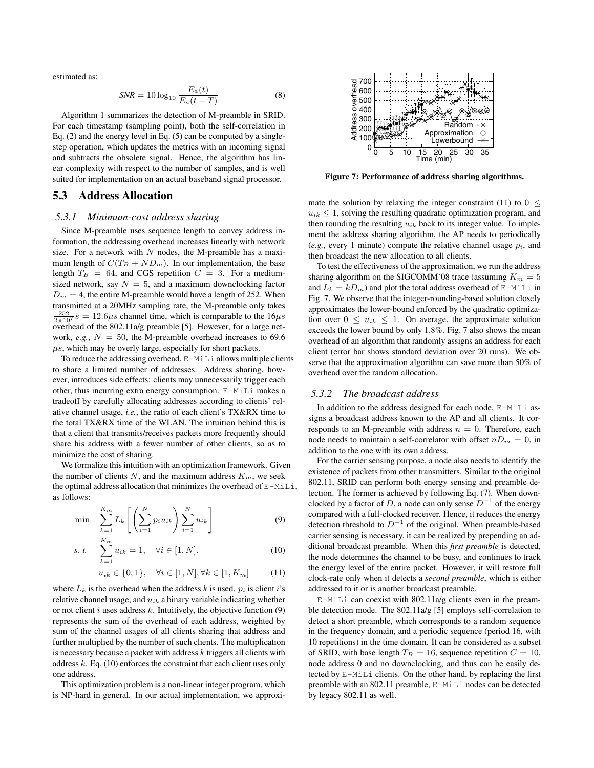estimated as:

$$
SNR = 10 \log_{10} \frac{E_a(t)}{E_a(t - T)}
$$
\n
$$
(8)
$$

Algorithm 1 summarizes the detection of M-preamble in SRID. For each timestamp (sampling point), both the self-correlation in Eq. (2) and the energy level in Eq. (5) can be computed by a singlestep operation, which updates the metrics with an incoming signal and subtracts the obsolete signal. Hence, the algorithm has linear complexity with respect to the number of samples, and is well suited for implementation on an actual baseband signal processor.

## 5.3 Address Allocation

#### *5.3.1 Minimum-cost address sharing*

Since M-preamble uses sequence length to convey address information, the addressing overhead increases linearly with network size. For a network with  $N$  nodes, the M-preamble has a maximum length of  $C(T_B + ND_m)$ . In our implementation, the base length  $T_B = 64$ , and CGS repetition  $C = 3$ . For a mediumsized network, say  $N = 5$ , and a maximum downclocking factor  $D_m = 4$ , the entire M-preamble would have a length of 252. When transmitted at a 20MHz sampling rate, the M-preamble only takes  $\frac{252}{2 \times 10^7}$  s = 12.6 $\mu$ s channel time, which is comparable to the 16 $\mu$ s overhead of the 802.11a/g preamble [5]. However, for a large network, *e.g.*,  $N = 50$ , the M-preamble overhead increases to 69.6  $\mu$ s, which may be overly large, especially for short packets.

To reduce the addressing overhead, E-MiLi allows multiple clients to share a limited number of addresses. Address sharing, however, introduces side effects: clients may unnecessarily trigger each other, thus incurring extra energy consumption. E-MiLi makes a tradeoff by carefully allocating addresses according to clients' relative channel usage, *i.e.*, the ratio of each client's TX&RX time to the total TX&RX time of the WLAN. The intuition behind this is that a client that transmits/receives packets more frequently should share his address with a fewer number of other clients, so as to minimize the cost of sharing.

We formalize this intuition with an optimization framework. Given the number of clients  $N$ , and the maximum address  $K_m$ , we seek the optimal address allocation that minimizes the overhead of  $E-MiLi$ , as follows:

$$
\min \sum_{k=1}^{K_m} L_k \left[ \left( \sum_{i=1}^N p_i u_{ik} \right) \sum_{i=1}^N u_{ik} \right]
$$

s. t. 
$$
\sum_{k=1}^{K_m} u_{ik} = 1, \quad \forall i \in [1, N].
$$
 (10)

$$
u_{ik} \in \{0, 1\}, \quad \forall i \in [1, N], \forall k \in [1, K_m]
$$
 (11)

(9)

where  $L_k$  is the overhead when the address k is used.  $p_i$  is client i's relative channel usage, and  $u_{ik}$  a binary variable indicating whether or not client i uses address k. Intuitively, the objective function  $(9)$ represents the sum of the overhead of each address, weighted by sum of the channel usages of all clients sharing that address and further multiplied by the number of such clients. The multiplication is necessary because a packet with address  $k$  triggers all clients with address  $k$ . Eq. (10) enforces the constraint that each client uses only one address.

This optimization problem is a non-linear integer program, which is NP-hard in general. In our actual implementation, we approxi-



Figure 7: Performance of address sharing algorithms.

mate the solution by relaxing the integer constraint (11) to  $0 \leq$  $u_{ik} \leq 1$ , solving the resulting quadratic optimization program, and then rounding the resulting  $u_{ik}$  back to its integer value. To implement the address sharing algorithm, the AP needs to periodically  $(e.g., every 1 minute)$  compute the relative channel usage  $p<sub>i</sub>$ , and then broadcast the new allocation to all clients.

To test the effectiveness of the approximation, we run the address sharing algorithm on the SIGCOMM'08 trace (assuming  $K_m = 5$ and  $L_k = kD_m$ ) and plot the total address overhead of E-MiLi in Fig. 7. We observe that the integer-rounding-based solution closely approximates the lower-bound enforced by the quadratic optimization over  $0 \leq u_{ik} \leq 1$ . On average, the approximate solution exceeds the lower bound by only 1.8%. Fig. 7 also shows the mean overhead of an algorithm that randomly assigns an address for each client (error bar shows standard deviation over 20 runs). We observe that the approximation algorithm can save more than 50% of overhead over the random allocation.

#### *5.3.2 The broadcast address*

In addition to the address designed for each node, E-MiLi assigns a broadcast address known to the AP and all clients. It corresponds to an M-preamble with address  $n = 0$ . Therefore, each node needs to maintain a self-correlator with offset  $nD_m = 0$ , in addition to the one with its own address.

For the carrier sensing purpose, a node also needs to identify the existence of packets from other transmitters. Similar to the original 802.11, SRID can perform both energy sensing and preamble detection. The former is achieved by following Eq. (7). When downclocked by a factor of D, a node can only sense  $D^{-1}$  of the energy compared with a full-clocked receiver. Hence, it reduces the energy detection threshold to  $D^{-1}$  of the original. When preamble-based carrier sensing is necessary, it can be realized by prepending an additional broadcast preamble. When this *first preamble* is detected, the node determines the channel to be busy, and continues to track the energy level of the entire packet. However, it will restore full clock-rate only when it detects a *second preamble*, which is either addressed to it or is another broadcast preamble.

 $E-MiLi$  can coexist with 802.11a/g clients even in the preamble detection mode. The 802.11a/g [5] employs self-correlation to detect a short preamble, which corresponds to a random sequence in the frequency domain, and a periodic sequence (period 16, with 10 repetitions) in the time domain. It can be considered as a subset of SRID, with base length  $T_B = 16$ , sequence repetition  $C = 10$ , node address 0 and no downclocking, and thus can be easily detected by E-MiLi clients. On the other hand, by replacing the first preamble with an 802.11 preamble, E-MiLi nodes can be detected by legacy 802.11 as well.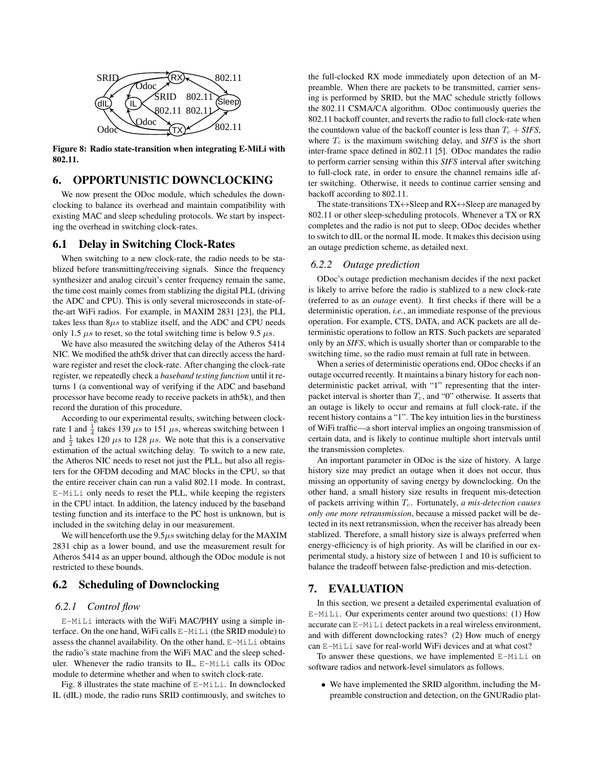

Figure 8: Radio state-transition when integrating E-MiLi with 802.11.

## 6. OPPORTUNISTIC DOWNCLOCKING

We now present the ODoc module, which schedules the downclocking to balance its overhead and maintain compatibility with existing MAC and sleep scheduling protocols. We start by inspecting the overhead in switching clock-rates.

## 6.1 Delay in Switching Clock-Rates

When switching to a new clock-rate, the radio needs to be stablized before transmitting/receiving signals. Since the frequency synthesizer and analog circuit's center frequency remain the same, the time cost mainly comes from stablizing the digital PLL (driving the ADC and CPU). This is only several microseconds in state-ofthe-art WiFi radios. For example, in MAXIM 2831 [23], the PLL takes less than  $8\mu s$  to stablize itself, and the ADC and CPU needs only 1.5  $\mu s$  to reset, so the total switching time is below 9.5  $\mu s$ .

We have also measured the switching delay of the Atheros 5414 NIC. We modified the ath5k driver that can directly access the hardware register and reset the clock-rate. After changing the clock-rate register, we repeatedly check a *baseband testing function* until it returns 1 (a conventional way of verifying if the ADC and baseband processor have become ready to receive packets in ath5k), and then record the duration of this procedure.

According to our experimental results, switching between clockrate 1 and  $\frac{1}{4}$  takes 139  $\mu s$  to 151  $\mu s$ , whereas switching between 1 and  $\frac{1}{2}$  takes 120  $\mu s$  to 128  $\mu s$ . We note that this is a conservative estimation of the actual switching delay. To switch to a new rate, the Atheros NIC needs to reset not just the PLL, but also all registers for the OFDM decoding and MAC blocks in the CPU, so that the entire receiver chain can run a valid 802.11 mode. In contrast, E-MiLi only needs to reset the PLL, while keeping the registers in the CPU intact. In addition, the latency induced by the baseband testing function and its interface to the PC host is unknown, but is included in the switching delay in our measurement.

We will henceforth use the  $9.5\mu s$  switching delay for the MAXIM 2831 chip as a lower bound, and use the measurement result for Atheros 5414 as an upper bound, although the ODoc module is not restricted to these bounds.

## 6.2 Scheduling of Downclocking

#### *6.2.1 Control flow*

E-MiLi interacts with the WiFi MAC/PHY using a simple interface. On the one hand, WiFi calls E-MiLi (the SRID module) to assess the channel availability. On the other hand, E-MiLi obtains the radio's state machine from the WiFi MAC and the sleep scheduler. Whenever the radio transits to IL, E-MiLi calls its ODoc module to determine whether and when to switch clock-rate.

Fig. 8 illustrates the state machine of E-MiLi. In downclocked IL (dIL) mode, the radio runs SRID continuously, and switches to

the full-clocked RX mode immediately upon detection of an Mpreamble. When there are packets to be transmitted, carrier sensing is performed by SRID, but the MAC schedule strictly follows the 802.11 CSMA/CA algorithm. ODoc continuously queries the 802.11 backoff counter, and reverts the radio to full clock-rate when the countdown value of the backoff counter is less than  $T_c + SIFS$ , where  $T_c$  is the maximum switching delay, and *SIFS* is the short inter-frame space defined in 802.11 [5]. ODoc mandates the radio to perform carrier sensing within this *SIFS* interval after switching to full-clock rate, in order to ensure the channel remains idle after switching. Otherwise, it needs to continue carrier sensing and backoff according to 802.11.

The state-transitions  $TX \leftrightarrow S$ leep and  $RX \leftrightarrow S$ leep are managed by 802.11 or other sleep-scheduling protocols. Whenever a TX or RX completes and the radio is not put to sleep, ODoc decides whether to switch to dIL or the normal IL mode. It makes this decision using an outage prediction scheme, as detailed next.

#### *6.2.2 Outage prediction*

ODoc's outage prediction mechanism decides if the next packet is likely to arrive before the radio is stablized to a new clock-rate (referred to as an *outage* event). It first checks if there will be a deterministic operation, *i.e.*, an immediate response of the previous operation. For example, CTS, DATA, and ACK packets are all deterministic operations to follow an RTS. Such packets are separated only by an *SIFS*, which is usually shorter than or comparable to the switching time, so the radio must remain at full rate in between.

When a series of deterministic operations end, ODoc checks if an outage occurred recently. It maintains a binary history for each nondeterministic packet arrival, with "1" representing that the interpacket interval is shorter than  $T_c$ , and "0" otherwise. It asserts that an outage is likely to occur and remains at full clock-rate, if the recent history contains a "1". The key intuition lies in the burstiness of WiFi traffic—a short interval implies an ongoing transmission of certain data, and is likely to continue multiple short intervals until the transmission completes.

An important parameter in ODoc is the size of history. A large history size may predict an outage when it does not occur, thus missing an opportunity of saving energy by downclocking. On the other hand, a small history size results in frequent mis-detection of packets arriving within Tc. Fortunately, *a mis-detection causes only one more retransmission*, because a missed packet will be detected in its next retransmission, when the receiver has already been stablized. Therefore, a small history size is always preferred when energy-efficiency is of high priority. As will be clarified in our experimental study, a history size of between 1 and 10 is sufficient to balance the tradeoff between false-prediction and mis-detection.

## 7. EVALUATION

In this section, we present a detailed experimental evaluation of E-MiLi. Our experiments center around two questions: (1) How accurate can E-MiLi detect packets in a real wireless environment, and with different downclocking rates? (2) How much of energy can E-MiLi save for real-world WiFi devices and at what cost?

To answer these questions, we have implemented E-MiLi on software radios and network-level simulators as follows.

• We have implemented the SRID algorithm, including the Mpreamble construction and detection, on the GNURadio plat-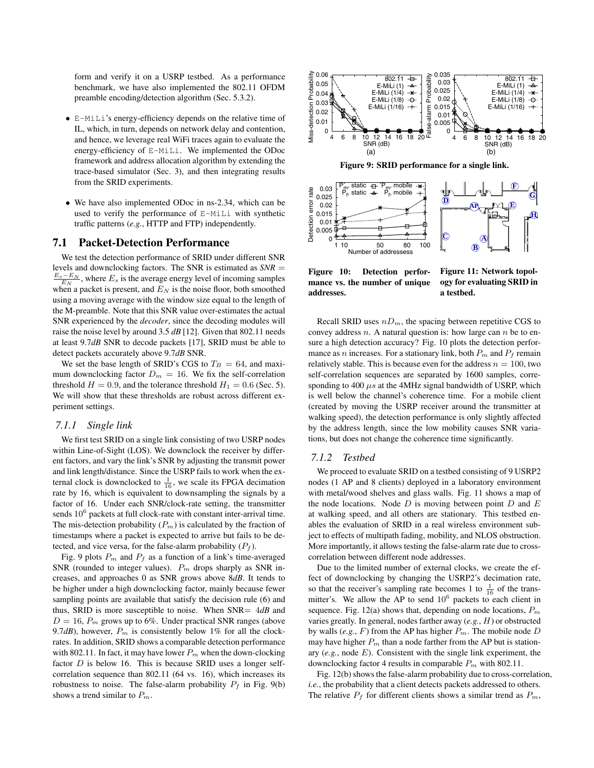form and verify it on a USRP testbed. As a performance benchmark, we have also implemented the 802.11 OFDM preamble encoding/detection algorithm (Sec. 5.3.2).

- E-MiLi's energy-efficiency depends on the relative time of IL, which, in turn, depends on network delay and contention, and hence, we leverage real WiFi traces again to evaluate the energy-efficiency of E-MiLi. We implemented the ODoc framework and address allocation algorithm by extending the trace-based simulator (Sec. 3), and then integrating results from the SRID experiments.
- We have also implemented ODoc in ns-2.34, which can be used to verify the performance of E-MiLi with synthetic traffic patterns (*e.g.*, HTTP and FTP) independently.

### 7.1 Packet-Detection Performance

We test the detection performance of SRID under different SNR levels and downclocking factors. The SNR is estimated as *SNR* =  $\frac{E_s - E_N}{E_N}$ , where  $E_s$  is the average energy level of incoming samples when a packet is present, and  $E<sub>N</sub>$  is the noise floor, both smoothed using a moving average with the window size equal to the length of the M-preamble. Note that this SNR value over-estimates the actual SNR experienced by the *decoder*, since the decoding modules will raise the noise level by around 3.5 *dB* [12]. Given that 802.11 needs at least 9.7*dB* SNR to decode packets [17], SRID must be able to detect packets accurately above 9.7*dB* SNR.

We set the base length of SRID's CGS to  $T_B = 64$ , and maximum downclocking factor  $D_m = 16$ . We fix the self-correlation threshold  $H = 0.9$ , and the tolerance threshold  $H_1 = 0.6$  (Sec. 5). We will show that these thresholds are robust across different experiment settings.

#### *7.1.1 Single link*

We first test SRID on a single link consisting of two USRP nodes within Line-of-Sight (LOS). We downclock the receiver by different factors, and vary the link's SNR by adjusting the transmit power and link length/distance. Since the USRP fails to work when the external clock is downclocked to  $\frac{1}{16}$ , we scale its FPGA decimation rate by 16, which is equivalent to downsampling the signals by a factor of 16. Under each SNR/clock-rate setting, the transmitter sends  $10^6$  packets at full clock-rate with constant inter-arrival time. The mis-detection probability  $(P_m)$  is calculated by the fraction of timestamps where a packet is expected to arrive but fails to be detected, and vice versa, for the false-alarm probability  $(P_f)$ .

Fig. 9 plots  $P_m$  and  $P_f$  as a function of a link's time-averaged SNR (rounded to integer values).  $P_m$  drops sharply as SNR increases, and approaches 0 as SNR grows above 8*dB*. It tends to be higher under a high downclocking factor, mainly because fewer sampling points are available that satisfy the decision rule (6) and thus, SRID is more susceptible to noise. When SNR= 4*dB* and  $D = 16$ ,  $P_m$  grows up to 6%. Under practical SNR ranges (above 9.7*dB*), however,  $P_m$  is consistently below 1% for all the clockrates. In addition, SRID shows a comparable detection performance with 802.11. In fact, it may have lower  $P_m$  when the down-clocking factor  $D$  is below 16. This is because SRID uses a longer selfcorrelation sequence than 802.11 (64 vs. 16), which increases its robustness to noise. The false-alarm probability  $P_f$  in Fig. 9(b) shows a trend similar to  $P_m$ .



Figure 10: Detection performance vs. the number of unique addresses.

a testbed. Figure 11: Network topology for evaluating SRID in

relatively stable. This is because even for the address  $n = 100$ , two Recall SRID uses  $nD_m$ , the spacing between repetitive CGS to convey address  $n$ . A natural question is: how large can  $n$  be to ensure a high detection accuracy? Fig. 10 plots the detection performance as *n* increases. For a stationary link, both  $P_m$  and  $P_f$  remain self-correlation sequences are separated by 1600 samples, corresponding to 400  $\mu s$  at the 4MHz signal bandwidth of USRP, which is well below the channel's coherence time. For a mobile client (created by moving the USRP receiver around the transmitter at walking speed), the detection performance is only slightly affected by the address length, since the low mobility causes SNR variations, but does not change the coherence time significantly.

## *7.1.2 Testbed*

We proceed to evaluate SRID on a testbed consisting of 9 USRP2 nodes (1 AP and 8 clients) deployed in a laboratory environment with metal/wood shelves and glass walls. Fig. 11 shows a map of the node locations. Node  $D$  is moving between point  $D$  and  $E$ at walking speed, and all others are stationary. This testbed enables the evaluation of SRID in a real wireless environment subject to effects of multipath fading, mobility, and NLOS obstruction. More importantly, it allows testing the false-alarm rate due to crosscorrelation between different node addresses.

Due to the limited number of external clocks, we create the effect of downclocking by changing the USRP2's decimation rate, so that the receiver's sampling rate becomes 1 to  $\frac{1}{16}$  of the transmitter's. We allow the AP to send  $10^6$  packets to each client in sequence. Fig. 12(a) shows that, depending on node locations,  $P_m$ varies greatly. In general, nodes farther away (*e.g.*, H) or obstructed by walls  $(e.g., F)$  from the AP has higher  $P_m$ . The mobile node D may have higher  $P_m$  than a node farther from the AP but is stationary  $(e.g.,\,node\ E)$ . Consistent with the single link experiment, the downclocking factor 4 results in comparable  $P_m$  with 802.11.

Fig. 12(b) shows the false-alarm probability due to cross-correlation, *i.e.*, the probability that a client detects packets addressed to others. The relative  $P_f$  for different clients shows a similar trend as  $P_m$ ,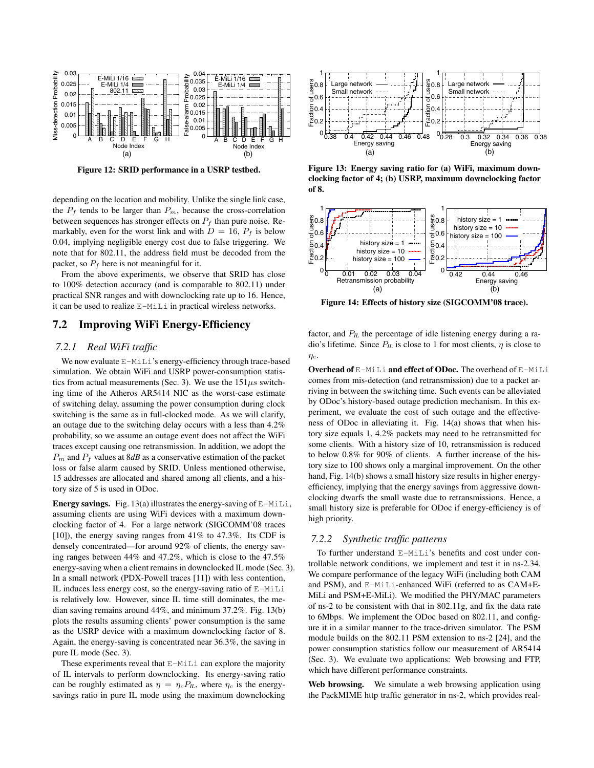

Figure 12: SRID performance in a USRP testbed.

depending on the location and mobility. Unlike the single link case, the  $P_f$  tends to be larger than  $P_m$ , because the cross-correlation between sequences has stronger effects on  $P_f$  than pure noise. Remarkably, even for the worst link and with  $D = 16$ ,  $P_f$  is below 0.04, implying negligible energy cost due to false triggering. We note that for 802.11, the address field must be decoded from the packet, so  $P_f$  here is not meaningful for it.

From the above experiments, we observe that SRID has close to 100% detection accuracy (and is comparable to 802.11) under practical SNR ranges and with downclocking rate up to 16. Hence, it can be used to realize E-MiLi in practical wireless networks.

## 7.2 Improving WiFi Energy-Efficiency

#### *7.2.1 Real WiFi traffic*

We now evaluate E-MiLi's energy-efficiency through trace-based simulation. We obtain WiFi and USRP power-consumption statistics from actual measurements (Sec. 3). We use the  $151\mu s$  switching time of the Atheros AR5414 NIC as the worst-case estimate of switching delay, assuming the power consumption during clock switching is the same as in full-clocked mode. As we will clarify, an outage due to the switching delay occurs with a less than 4.2% probability, so we assume an outage event does not affect the WiFi traces except causing one retransmission. In addition, we adopt the  $P_m$  and  $P_f$  values at 8*dB* as a conservative estimation of the packet loss or false alarm caused by SRID. Unless mentioned otherwise, 15 addresses are allocated and shared among all clients, and a history size of 5 is used in ODoc.

**Energy savings.** Fig. 13(a) illustrates the energy-saving of  $E-MiLi$ , assuming clients are using WiFi devices with a maximum downclocking factor of 4. For a large network (SIGCOMM'08 traces [10]), the energy saving ranges from  $41\%$  to  $47.3\%$ . Its CDF is densely concentrated—for around 92% of clients, the energy saving ranges between 44% and 47.2%, which is close to the 47.5% energy-saving when a client remains in downclocked IL mode (Sec. 3). In a small network (PDX-Powell traces [11]) with less contention, IL induces less energy cost, so the energy-saving ratio of  $E-MiLi$ is relatively low. However, since IL time still dominates, the median saving remains around 44%, and minimum 37.2%. Fig. 13(b) plots the results assuming clients' power consumption is the same as the USRP device with a maximum downclocking factor of 8. Again, the energy-saving is concentrated near 36.3%, the saving in pure IL mode (Sec. 3).

These experiments reveal that  $E-MiLi$  can explore the majority of IL intervals to perform downclocking. Its energy-saving ratio can be roughly estimated as  $\eta = \eta_c P_{IL}$ , where  $\eta_c$  is the energysavings ratio in pure IL mode using the maximum downclocking



Figure 13: Energy saving ratio for (a) WiFi, maximum downclocking factor of 4; (b) USRP, maximum downclocking factor of 8.



Figure 14: Effects of history size (SIGCOMM'08 trace).

factor, and P*IL* the percentage of idle listening energy during a radio's lifetime. Since  $P_{IL}$  is close to 1 for most clients,  $\eta$  is close to  $\eta_c$ .

Overhead of E-MiLi and effect of ODoc. The overhead of E-MiLi comes from mis-detection (and retransmission) due to a packet arriving in between the switching time. Such events can be alleviated by ODoc's history-based outage prediction mechanism. In this experiment, we evaluate the cost of such outage and the effectiveness of ODoc in alleviating it. Fig. 14(a) shows that when history size equals 1, 4.2% packets may need to be retransmitted for some clients. With a history size of 10, retransmission is reduced to below 0.8% for 90% of clients. A further increase of the history size to 100 shows only a marginal improvement. On the other hand, Fig. 14(b) shows a small history size results in higher energyefficiency, implying that the energy savings from aggressive downclocking dwarfs the small waste due to retransmissions. Hence, a small history size is preferable for ODoc if energy-efficiency is of high priority.

#### *7.2.2 Synthetic traffic patterns*

To further understand E-MiLi's benefits and cost under controllable network conditions, we implement and test it in ns-2.34. We compare performance of the legacy WiFi (including both CAM and PSM), and E-MiLi-enhanced WiFi (referred to as CAM+E-MiLi and PSM+E-MiLi). We modified the PHY/MAC parameters of ns-2 to be consistent with that in 802.11g, and fix the data rate to 6Mbps. We implement the ODoc based on 802.11, and configure it in a similar manner to the trace-driven simulator. The PSM module builds on the 802.11 PSM extension to ns-2 [24], and the power consumption statistics follow our measurement of AR5414 (Sec. 3). We evaluate two applications: Web browsing and FTP, which have different performance constraints.

Web browsing. We simulate a web browsing application using the PackMIME http traffic generator in ns-2, which provides real-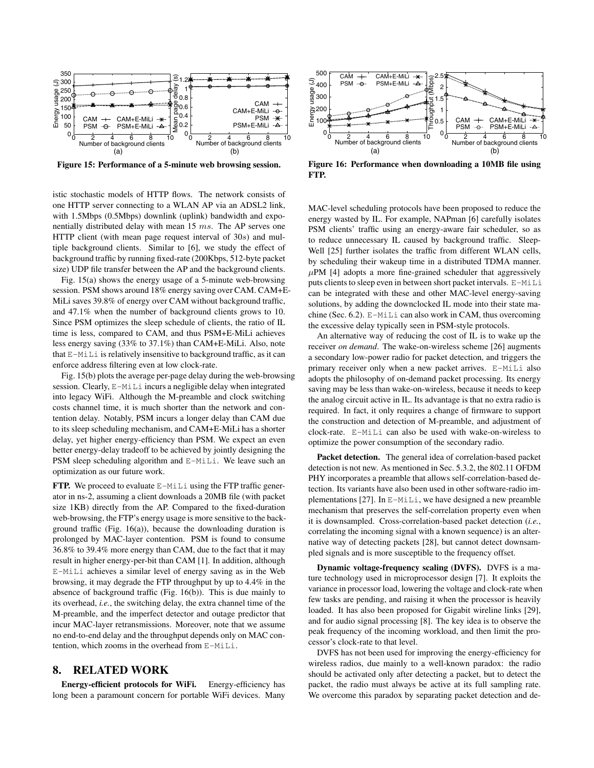

Figure 15: Performance of a 5-minute web browsing session.

istic stochastic models of HTTP flows. The network consists of one HTTP server connecting to a WLAN AP via an ADSL2 link, with 1.5Mbps (0.5Mbps) downlink (uplink) bandwidth and exponentially distributed delay with mean 15 ms. The AP serves one HTTP client (with mean page request interval of 30s) and multiple background clients. Similar to [6], we study the effect of background traffic by running fixed-rate (200Kbps, 512-byte packet size) UDP file transfer between the AP and the background clients.

Fig. 15(a) shows the energy usage of a 5-minute web-browsing session. PSM shows around 18% energy saving over CAM. CAM+E-MiLi saves 39.8% of energy over CAM without background traffic, and 47.1% when the number of background clients grows to 10. Since PSM optimizes the sleep schedule of clients, the ratio of IL time is less, compared to CAM, and thus PSM+E-MiLi achieves less energy saving (33% to 37.1%) than CAM+E-MiLi. Also, note that  $E-MiLi$  is relatively insensitive to background traffic, as it can enforce address filtering even at low clock-rate.

Fig. 15(b) plots the average per-page delay during the web-browsing session. Clearly, E-MiLi incurs a negligible delay when integrated into legacy WiFi. Although the M-preamble and clock switching costs channel time, it is much shorter than the network and contention delay. Notably, PSM incurs a longer delay than CAM due to its sleep scheduling mechanism, and CAM+E-MiLi has a shorter delay, yet higher energy-efficiency than PSM. We expect an even better energy-delay tradeoff to be achieved by jointly designing the PSM sleep scheduling algorithm and E-MiLi. We leave such an optimization as our future work.

FTP. We proceed to evaluate  $E-MiLi$  using the FTP traffic generator in ns-2, assuming a client downloads a 20MB file (with packet size 1KB) directly from the AP. Compared to the fixed-duration web-browsing, the FTP's energy usage is more sensitive to the background traffic (Fig. 16(a)), because the downloading duration is prolonged by MAC-layer contention. PSM is found to consume 36.8% to 39.4% more energy than CAM, due to the fact that it may result in higher energy-per-bit than CAM [1]. In addition, although E-MiLi achieves a similar level of energy saving as in the Web browsing, it may degrade the FTP throughput by up to 4.4% in the absence of background traffic (Fig. 16(b)). This is due mainly to its overhead, *i.e.*, the switching delay, the extra channel time of the M-preamble, and the imperfect detector and outage predictor that incur MAC-layer retransmissions. Moreover, note that we assume no end-to-end delay and the throughput depends only on MAC contention, which zooms in the overhead from E-MiLi.

#### 8. RELATED WORK

Energy-efficient protocols for WiFi. Energy-efficiency has long been a paramount concern for portable WiFi devices. Many



Figure 16: Performance when downloading a 10MB file using FTP.

MAC-level scheduling protocols have been proposed to reduce the energy wasted by IL. For example, NAPman [6] carefully isolates PSM clients' traffic using an energy-aware fair scheduler, so as to reduce unnecessary IL caused by background traffic. Sleep-Well [25] further isolates the traffic from different WLAN cells, by scheduling their wakeup time in a distributed TDMA manner.  $\mu$ PM [4] adopts a more fine-grained scheduler that aggressively puts clients to sleep even in between short packet intervals. E-MiLi can be integrated with these and other MAC-level energy-saving solutions, by adding the downclocked IL mode into their state machine (Sec. 6.2). E-MiLi can also work in CAM, thus overcoming the excessive delay typically seen in PSM-style protocols.

An alternative way of reducing the cost of IL is to wake up the receiver *on demand*. The wake-on-wireless scheme [26] augments a secondary low-power radio for packet detection, and triggers the primary receiver only when a new packet arrives. E-MiLi also adopts the philosophy of on-demand packet processing. Its energy saving may be less than wake-on-wireless, because it needs to keep the analog circuit active in IL. Its advantage is that no extra radio is required. In fact, it only requires a change of firmware to support the construction and detection of M-preamble, and adjustment of clock-rate. E-MiLi can also be used with wake-on-wireless to optimize the power consumption of the secondary radio.

Packet detection. The general idea of correlation-based packet detection is not new. As mentioned in Sec. 5.3.2, the 802.11 OFDM PHY incorporates a preamble that allows self-correlation-based detection. Its variants have also been used in other software-radio implementations [27]. In  $E-MiLi$ , we have designed a new preamble mechanism that preserves the self-correlation property even when it is downsampled. Cross-correlation-based packet detection (*i.e.*, correlating the incoming signal with a known sequence) is an alternative way of detecting packets [28], but cannot detect downsampled signals and is more susceptible to the frequency offset.

Dynamic voltage-frequency scaling (DVFS). DVFS is a mature technology used in microprocessor design [7]. It exploits the variance in processor load, lowering the voltage and clock-rate when few tasks are pending, and raising it when the processor is heavily loaded. It has also been proposed for Gigabit wireline links [29], and for audio signal processing [8]. The key idea is to observe the peak frequency of the incoming workload, and then limit the processor's clock-rate to that level.

DVFS has not been used for improving the energy-efficiency for wireless radios, due mainly to a well-known paradox: the radio should be activated only after detecting a packet, but to detect the packet, the radio must always be active at its full sampling rate. We overcome this paradox by separating packet detection and de